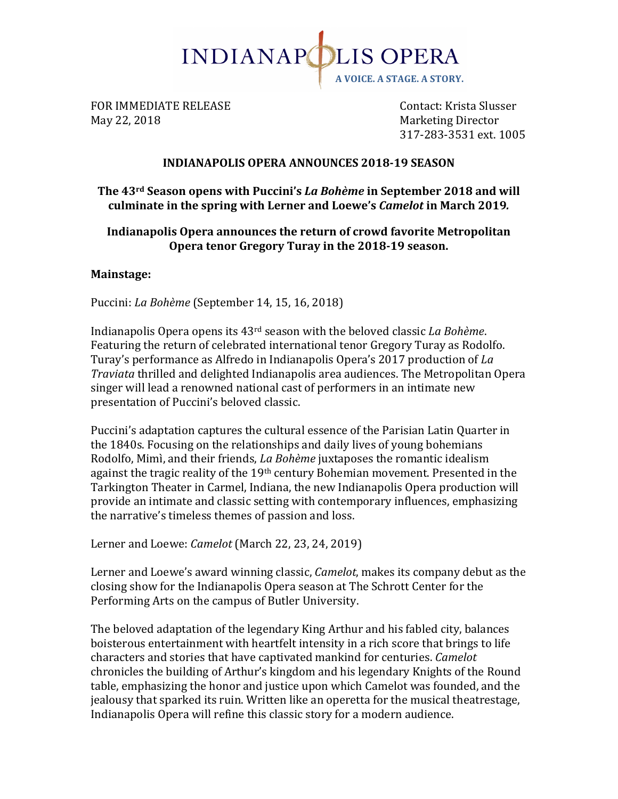

FOR IMMEDIATE RELEASE **Supering the Contact:** Krista Slusser May 22, 2018 Marketing Director

317-283-3531 ext. 1005

### **INDIANAPOLIS OPERA ANNOUNCES 2018-19 SEASON**

## The 43<sup>rd</sup> Season opens with Puccini's *La Bohème* in September 2018 and will culminate in the spring with Lerner and Loewe's *Camelot* in March 2019.

### **Indianapolis Opera announces the return of crowd favorite Metropolitan** Opera tenor Gregory Turay in the 2018-19 season.

#### **Mainstage:**

Puccini: *La Bohème* (September 14, 15, 16, 2018)

Indianapolis Opera opens its 43<sup>rd</sup> season with the beloved classic *La Bohème*. Featuring the return of celebrated international tenor Gregory Turay as Rodolfo. Turay's performance as Alfredo in Indianapolis Opera's 2017 production of *La Traviata* thrilled and delighted Indianapolis area audiences. The Metropolitan Opera singer will lead a renowned national cast of performers in an intimate new presentation of Puccini's beloved classic.

Puccini's adaptation captures the cultural essence of the Parisian Latin Quarter in the 1840s. Focusing on the relationships and daily lives of young bohemians Rodolfo, Mimì, and their friends, *La Bohème* juxtaposes the romantic idealism against the tragic reality of the  $19<sup>th</sup>$  century Bohemian movement. Presented in the Tarkington Theater in Carmel, Indiana, the new Indianapolis Opera production will provide an intimate and classic setting with contemporary influences, emphasizing the narrative's timeless themes of passion and loss.

Lerner and Loewe: *Camelot* (March 22, 23, 24, 2019)

Lerner and Loewe's award winning classic, *Camelot*, makes its company debut as the closing show for the Indianapolis Opera season at The Schrott Center for the Performing Arts on the campus of Butler University.

The beloved adaptation of the legendary King Arthur and his fabled city, balances boisterous entertainment with heartfelt intensity in a rich score that brings to life characters and stories that have captivated mankind for centuries. *Camelot* chronicles the building of Arthur's kingdom and his legendary Knights of the Round table, emphasizing the honor and justice upon which Camelot was founded, and the jealousy that sparked its ruin. Written like an operetta for the musical theatrestage, Indianapolis Opera will refine this classic story for a modern audience.